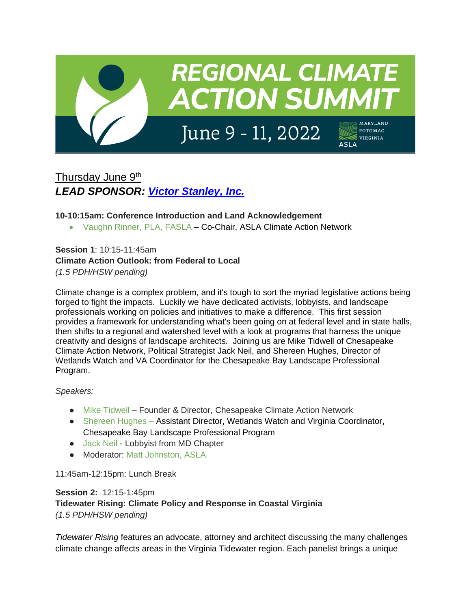

# Thursday June 9<sup>th</sup> *LEAD SPONSOR: [Victor Stanley, Inc.](https://victorstanley.com/)*

## **10-10:15am: Conference Introduction and Land Acknowledgement**

• Vaughn Rinner, PLA, FASLA – Co-Chair, ASLA Climate Action Network

**Session 1**: 10:15-11:45am **Climate Action Outlook: from Federal to Local** *(1.5 PDH/HSW pending)*

Climate change is a complex problem, and it's tough to sort the myriad legislative actions being forged to fight the impacts. Luckily we have dedicated activists, lobbyists, and landscape professionals working on policies and initiatives to make a difference. This first session provides a framework for understanding what's been going on at federal level and in state halls, then shifts to a regional and watershed level with a look at programs that harness the unique creativity and designs of landscape architects. Joining us are Mike Tidwell of Chesapeake Climate Action Network, Political Strategist Jack Neil, and Shereen Hughes, Director of Wetlands Watch and VA Coordinator for the Chesapeake Bay Landscape Professional Program.

*Speakers:* 

- Mike Tidwell Founder & Director, Chesapeake Climate Action Network
- Shereen Hughes Assistant Director, Wetlands Watch and Virginia Coordinator, Chesapeake Bay Landscape Professional Program
- Jack Neil Lobbyist from MD Chapter
- Moderator: Matt Johnston, ASLA

11:45am-12:15pm: Lunch Break

**Session 2:** 12:15-1:45pm **Tidewater Rising: Climate Policy and Response in Coastal Virginia** *(1.5 PDH/HSW pending)*

*Tidewater Rising* features an advocate, attorney and architect discussing the many challenges climate change affects areas in the Virginia Tidewater region. Each panelist brings a unique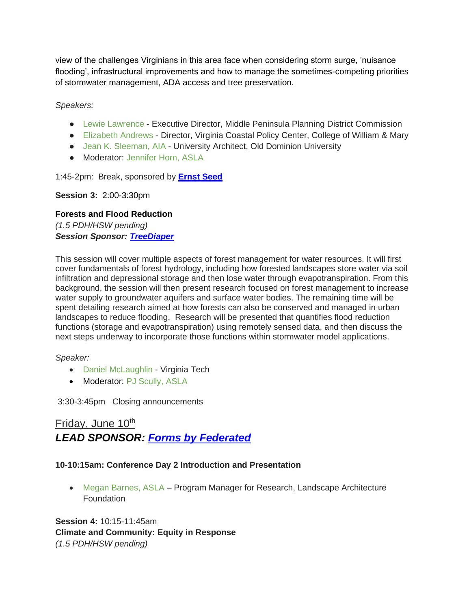view of the challenges Virginians in this area face when considering storm surge, 'nuisance flooding', infrastructural improvements and how to manage the sometimes-competing priorities of stormwater management, ADA access and tree preservation.

*Speakers:* 

- Lewie Lawrence Executive Director, Middle Peninsula Planning District Commission
- Elizabeth Andrews Director, Virginia Coastal Policy Center, College of William & Mary
- Jean K. Sleeman, AIA University Architect, Old Dominion University
- Moderator: Jennifer Horn, ASLA

1:45-2pm: Break, sponsored by **[Ernst Seed](https://www.ernstseed.com/)**

**Session 3:** 2:00-3:30pm

**Forests and Flood Reduction** *(1.5 PDH/HSW pending) Session Sponsor: [TreeDiaper](https://www.treediaper.com/)*

This session will cover multiple aspects of forest management for water resources. It will first cover fundamentals of forest hydrology, including how forested landscapes store water via soil infiltration and depressional storage and then lose water through evapotranspiration. From this background, the session will then present research focused on forest management to increase water supply to groundwater aquifers and surface water bodies. The remaining time will be spent detailing research aimed at how forests can also be conserved and managed in urban landscapes to reduce flooding. Research will be presented that quantifies flood reduction functions (storage and evapotranspiration) using remotely sensed data, and then discuss the next steps underway to incorporate those functions within stormwater model applications.

*Speaker:* 

- Daniel McLaughlin Virginia Tech
- Moderator: PJ Scully, ASLA

3:30-3:45pm Closing announcements

## Friday, June 10<sup>th</sup> *LEAD SPONSOR: [Forms by Federated](https://www.formsbyfederated.com/)*

## **10-10:15am: Conference Day 2 Introduction and Presentation**

• Megan Barnes, ASLA – Program Manager for Research, Landscape Architecture Foundation

**Session 4:** 10:15-11:45am **Climate and Community: Equity in Response**  *(1.5 PDH/HSW pending)*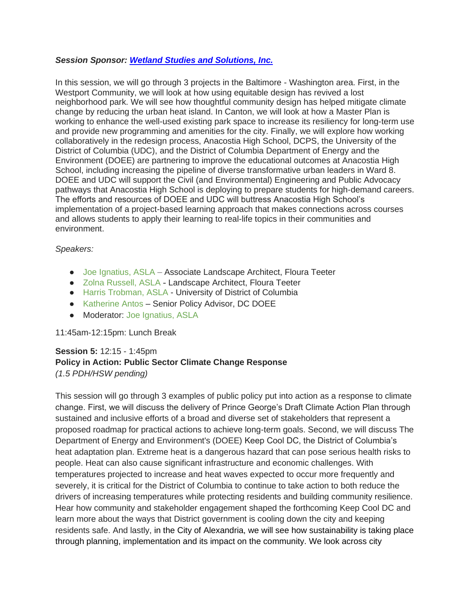### *Session Sponsor: [Wetland Studies and Solutions, Inc.](https://www.wetlands.com/)*

In this session, we will go through 3 projects in the Baltimore - Washington area. First, in the Westport Community, we will look at how using equitable design has revived a lost neighborhood park. We will see how thoughtful community design has helped mitigate climate change by reducing the urban heat island. In Canton, we will look at how a Master Plan is working to enhance the well-used existing park space to increase its resiliency for long-term use and provide new programming and amenities for the city. Finally, we will explore how working collaboratively in the redesign process, Anacostia High School, DCPS, the University of the District of Columbia (UDC), and the District of Columbia Department of Energy and the Environment (DOEE) are partnering to improve the educational outcomes at Anacostia High School, including increasing the pipeline of diverse transformative urban leaders in Ward 8. DOEE and UDC will support the Civil (and Environmental) Engineering and Public Advocacy pathways that Anacostia High School is deploying to prepare students for high-demand careers. The efforts and resources of DOEE and UDC will buttress Anacostia High School's implementation of a project-based learning approach that makes connections across courses and allows students to apply their learning to real-life topics in their communities and environment.

#### *Speakers:*

- Joe Ignatius, ASLA Associate Landscape Architect, Floura Teeter
- Zolna Russell, ASLA Landscape Architect, Floura Teeter
- Harris Trobman, ASLA University of District of Columbia
- Katherine Antos Senior Policy Advisor, DC DOEE
- Moderator: Joe Ignatius, ASLA

### 11:45am-12:15pm: Lunch Break

## **Session 5:** 12:15 - 1:45pm **Policy in Action: Public Sector Climate Change Response** *(1.5 PDH/HSW pending)*

This session will go through 3 examples of public policy put into action as a response to climate change. First, we will discuss the delivery of Prince George's Draft Climate Action Plan through sustained and inclusive efforts of a broad and diverse set of stakeholders that represent a proposed roadmap for practical actions to achieve long-term goals. Second, we will discuss The Department of Energy and Environment's (DOEE) Keep Cool DC, the District of Columbia's heat adaptation plan. Extreme heat is a dangerous hazard that can pose serious health risks to people. Heat can also cause significant infrastructure and economic challenges. With temperatures projected to increase and heat waves expected to occur more frequently and severely, it is critical for the District of Columbia to continue to take action to both reduce the drivers of increasing temperatures while protecting residents and building community resilience. Hear how community and stakeholder engagement shaped the forthcoming Keep Cool DC and learn more about the ways that District government is cooling down the city and keeping residents safe. And lastly, in the City of Alexandria, we will see how sustainability is taking place through planning, implementation and its impact on the community. We look across city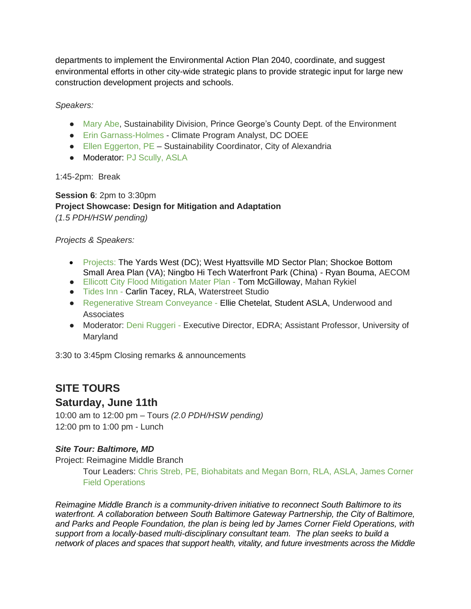departments to implement the Environmental Action Plan 2040, coordinate, and suggest environmental efforts in other city-wide strategic plans to provide strategic input for large new construction development projects and schools.

*Speakers:* 

- Mary Abe, Sustainability Division, Prince George's County Dept. of the Environment
- Erin Garnass-Holmes Climate Program Analyst, DC DOEE
- Ellen Eggerton, PE Sustainability Coordinator, City of Alexandria
- Moderator: PJ Scully, ASLA

1:45-2pm: Break

**Session 6**: 2pm to 3:30pm **Project Showcase: Design for Mitigation and Adaptation** *(1.5 PDH/HSW pending)*

*Projects & Speakers:* 

- Projects: The Yards West (DC); West Hyattsville MD Sector Plan; Shockoe Bottom Small Area Plan (VA); Ningbo Hi Tech Waterfront Park (China) - Ryan Bouma, AECOM
- Ellicott City Flood Mitigation Mater Plan Tom McGilloway, Mahan Rykiel
- Tides Inn Carlin Tacey, RLA, Waterstreet Studio
- Regenerative Stream Conveyance Ellie Chetelat, Student ASLA, Underwood and **Associates**
- Moderator: Deni Ruggeri Executive Director, EDRA; Assistant Professor, University of Maryland

3:30 to 3:45pm Closing remarks & announcements

## **SITE TOURS**

## **Saturday, June 11th**

10:00 am to 12:00 pm – Tours *(2.0 PDH/HSW pending)* 12:00 pm to 1:00 pm - Lunch

## *Site Tour: Baltimore, MD*

Project: Reimagine Middle Branch

Tour Leaders: Chris Streb, PE, Biohabitats and Megan Born, RLA, ASLA, James Corner Field Operations

*Reimagine Middle Branch is a community-driven initiative to reconnect South Baltimore to its waterfront. A collaboration between South Baltimore Gateway Partnership, the City of Baltimore, and Parks and People Foundation, the plan is being led by James Corner Field Operations, with support from a locally-based multi-disciplinary consultant team. The plan seeks to build a network of places and spaces that support health, vitality, and future investments across the Middle*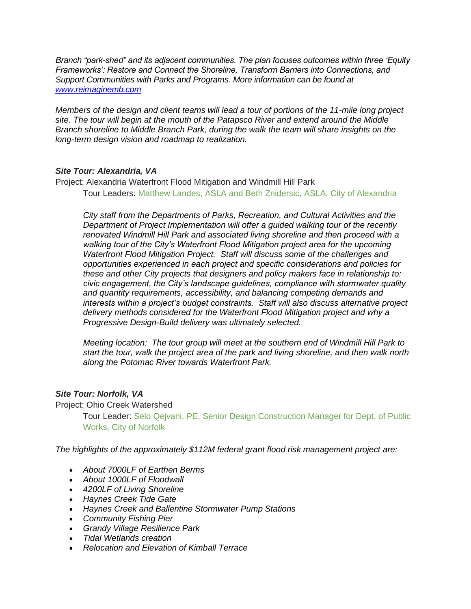*Branch "park-shed" and its adjacent communities. The plan focuses outcomes within three 'Equity Frameworks': Restore and Connect the Shoreline, Transform Barriers into Connections, and Support Communities with Parks and Programs. More information can be found at [www.reimaginemb.com](about:blank)*

*Members of the design and client teams will lead a tour of portions of the 11-mile long project site. The tour will begin at the mouth of the Patapsco River and extend around the Middle Branch shoreline to Middle Branch Park, during the walk the team will share insights on the long-term design vision and roadmap to realization.*

### *Site Tour: Alexandria, VA*

Project: Alexandria Waterfront Flood Mitigation and Windmill Hill Park Tour Leaders: Matthew Landes, ASLA and Beth Znidersic, ASLA, City of Alexandria

*City staff from the Departments of Parks, Recreation, and Cultural Activities and the Department of Project Implementation will offer a guided walking tour of the recently renovated Windmill Hill Park and associated living shoreline and then proceed with a walking tour of the City's Waterfront Flood Mitigation project area for the upcoming Waterfront Flood Mitigation Project. Staff will discuss some of the challenges and opportunities experienced in each project and specific considerations and policies for these and other City projects that designers and policy makers face in relationship to: civic engagement, the City's landscape guidelines, compliance with stormwater quality and quantity requirements, accessibility, and balancing competing demands and interests within a project's budget constraints. Staff will also discuss alternative project delivery methods considered for the Waterfront Flood Mitigation project and why a Progressive Design-Build delivery was ultimately selected.*

*Meeting location: The tour group will meet at the southern end of Windmill Hill Park to start the tour, walk the project area of the park and living shoreline, and then walk north along the Potomac River towards Waterfront Park.*

### *Site Tour: Norfolk, VA*

Project: Ohio Creek Watershed

Tour Leader: Selo Qejvani, PE, Senior Design Construction Manager for Dept. of Public Works, City of Norfolk

*The highlights of the approximately \$112M federal grant flood risk management project are:*

- *About 7000LF of Earthen Berms*
- *About 1000LF of Floodwall*
- *4200LF of Living Shoreline*
- *Haynes Creek Tide Gate*
- *Haynes Creek and Ballentine Stormwater Pump Stations*
- *Community Fishing Pier*
- *Grandy Village Resilience Park*
- *Tidal Wetlands creation*
- *Relocation and Elevation of Kimball Terrace*